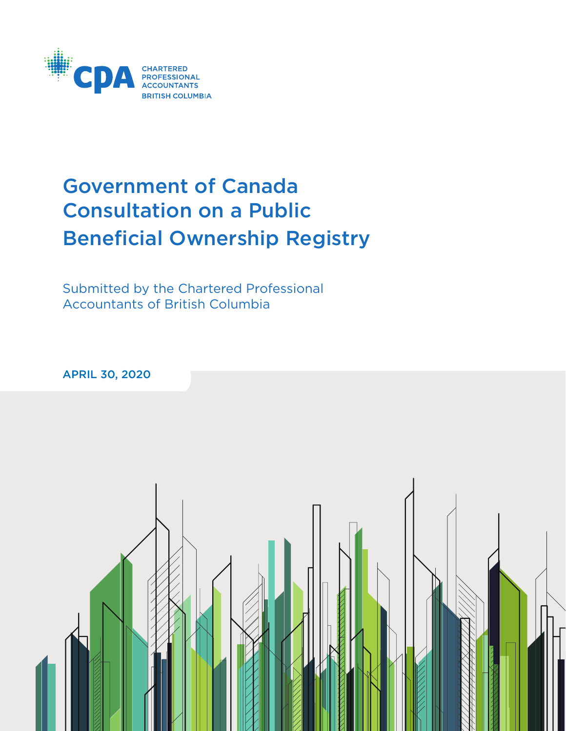

## Government of Canada Consultation on a Public Beneficial Ownership Registry

Submitted by the Chartered Professional Accountants of British Columbia

APRIL 30, 2020

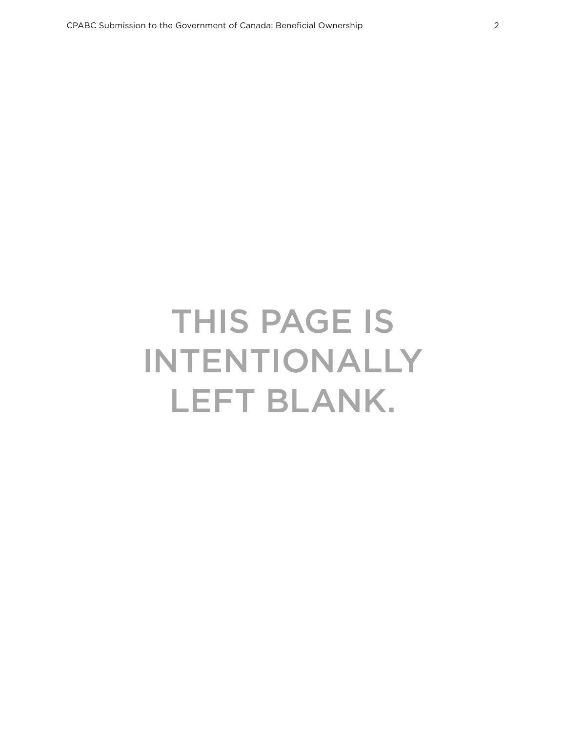# THIS PAGE IS INTENTIONALLY LEFT BLANK.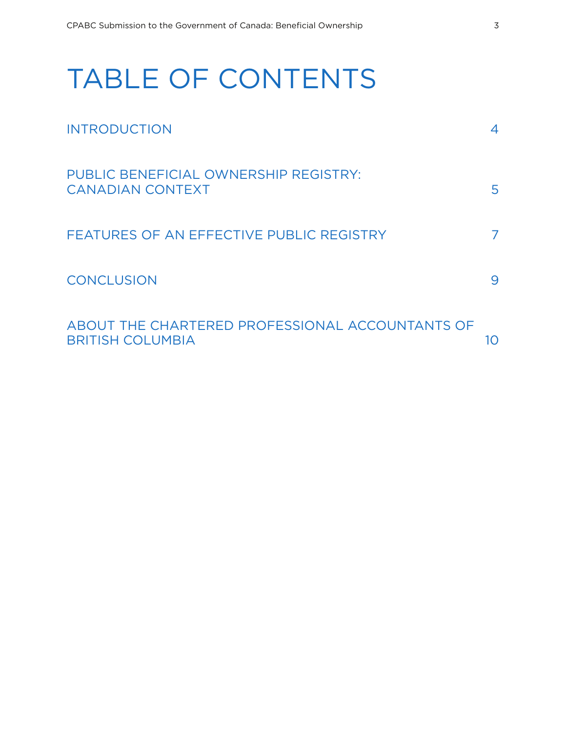## TABLE OF CONTENTS

| <b>INTRODUCTION</b>                                                        | 4 |
|----------------------------------------------------------------------------|---|
| PUBLIC BENEFICIAL OWNERSHIP REGISTRY:<br><b>CANADIAN CONTEXT</b>           | 5 |
| FEATURES OF AN EFFECTIVE PUBLIC REGISTRY                                   | 7 |
| <b>CONCLUSION</b>                                                          | 9 |
| ABOUT THE CHARTERED PROFESSIONAL ACCOUNTANTS OF<br><b>BRITISH COLUMBIA</b> |   |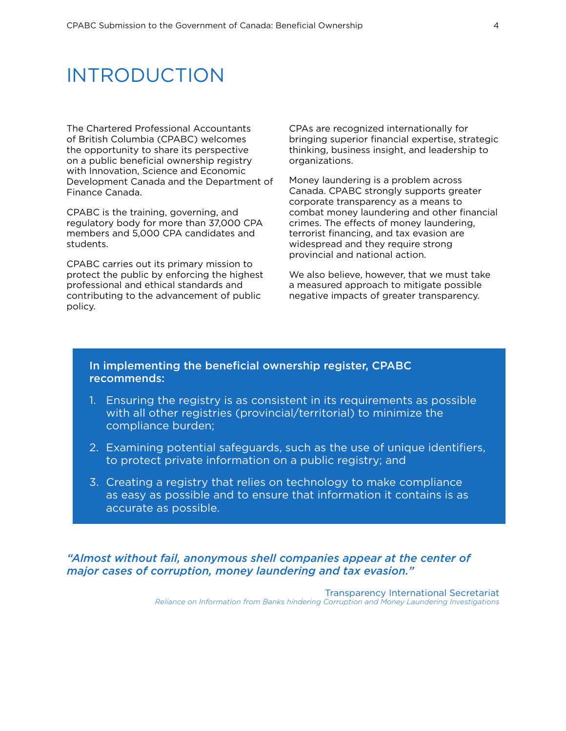### INTRODUCTION

The Chartered Professional Accountants of British Columbia (CPABC) welcomes the opportunity to share its perspective on a public beneficial ownership registry with Innovation, Science and Economic Development Canada and the Department of Finance Canada.

CPABC is the training, governing, and regulatory body for more than 37,000 CPA members and 5,000 CPA candidates and students.

CPABC carries out its primary mission to protect the public by enforcing the highest professional and ethical standards and contributing to the advancement of public policy.

CPAs are recognized internationally for bringing superior financial expertise, strategic thinking, business insight, and leadership to organizations.

Money laundering is a problem across Canada. CPABC strongly supports greater corporate transparency as a means to combat money laundering and other financial crimes. The effects of money laundering, terrorist financing, and tax evasion are widespread and they require strong provincial and national action.

We also believe, however, that we must take a measured approach to mitigate possible negative impacts of greater transparency.

#### In implementing the beneficial ownership register, CPABC recommends:

- 1. Ensuring the registry is as consistent in its requirements as possible with all other registries (provincial/territorial) to minimize the compliance burden;
- 2. Examining potential safeguards, such as the use of unique identifiers, to protect private information on a public registry; and
- 3. Creating a registry that relies on technology to make compliance as easy as possible and to ensure that information it contains is as accurate as possible.

*"Almost without fail, anonymous shell companies appear at the center of major cases of corruption, money laundering and tax evasion."*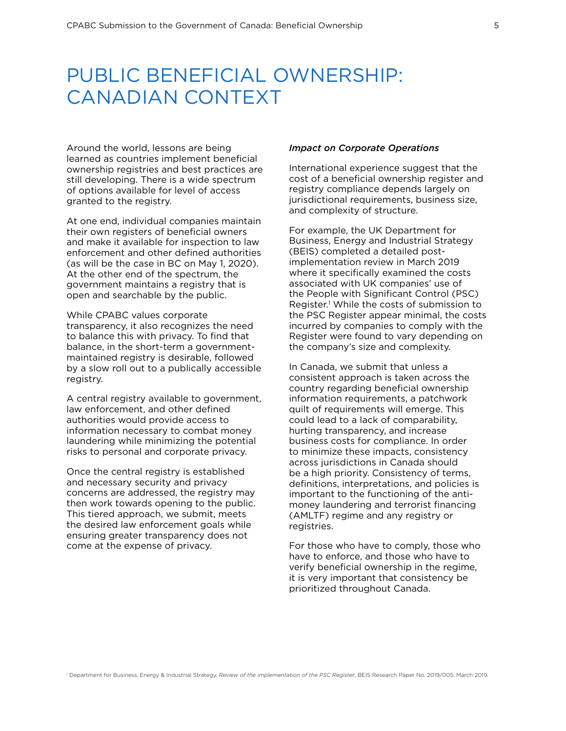## PUBLIC BENEFICIAL OWNERSHIP: CANADIAN CONTEXT

Around the world, lessons are being learned as countries implement beneficial ownership registries and best practices are still developing. There is a wide spectrum of options available for level of access granted to the registry.

At one end, individual companies maintain their own registers of beneficial owners and make it available for inspection to law enforcement and other defined authorities (as will be the case in BC on May 1, 2020). At the other end of the spectrum, the government maintains a registry that is open and searchable by the public.

While CPABC values corporate transparency, it also recognizes the need to balance this with privacy. To find that balance, in the short-term a governmentmaintained registry is desirable, followed by a slow roll out to a publically accessible registry.

A central registry available to government, law enforcement, and other defined authorities would provide access to information necessary to combat money laundering while minimizing the potential risks to personal and corporate privacy.

Once the central registry is established and necessary security and privacy concerns are addressed, the registry may then work towards opening to the public. This tiered approach, we submit, meets the desired law enforcement goals while ensuring greater transparency does not come at the expense of privacy.

#### *Impact on Corporate Operations*

International experience suggest that the cost of a beneficial ownership register and registry compliance depends largely on jurisdictional requirements, business size, and complexity of structure.

For example, the UK Department for Business, Energy and Industrial Strategy (BEIS) completed a detailed postimplementation review in March 2019 where it specifically examined the costs associated with UK companies' use of the People with Significant Control (PSC) Register.1 While the costs of submission to the PSC Register appear minimal, the costs incurred by companies to comply with the Register were found to vary depending on the company's size and complexity.

In Canada, we submit that unless a consistent approach is taken across the country regarding beneficial ownership information requirements, a patchwork quilt of requirements will emerge. This could lead to a lack of comparability, hurting transparency, and increase business costs for compliance. In order to minimize these impacts, consistency across jurisdictions in Canada should be a high priority. Consistency of terms, definitions, interpretations, and policies is important to the functioning of the antimoney laundering and terrorist financing (AMLTF) regime and any registry or registries.

For those who have to comply, those who have to enforce, and those who have to verify beneficial ownership in the regime, it is very important that consistency be prioritized throughout Canada.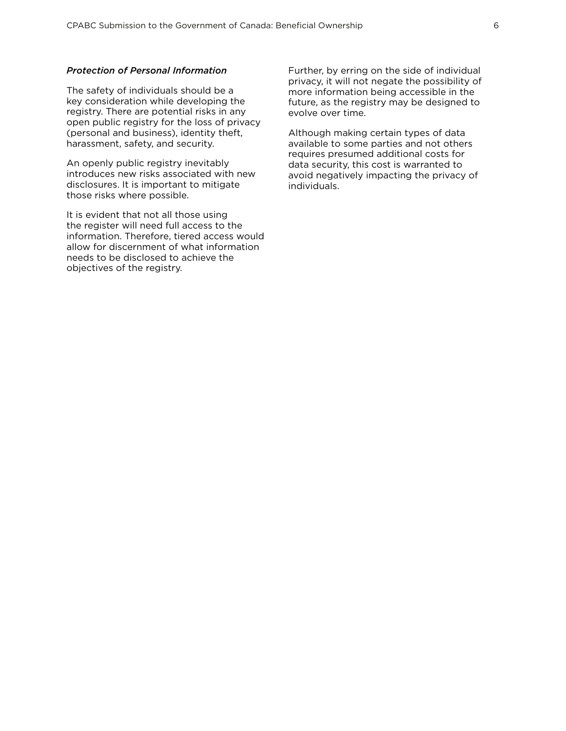#### *Protection of Personal Information*

The safety of individuals should be a key consideration while developing the registry. There are potential risks in any open public registry for the loss of privacy (personal and business), identity theft, harassment, safety, and security.

An openly public registry inevitably introduces new risks associated with new disclosures. It is important to mitigate those risks where possible.

It is evident that not all those using the register will need full access to the information. Therefore, tiered access would allow for discernment of what information needs to be disclosed to achieve the objectives of the registry.

Further, by erring on the side of individual privacy, it will not negate the possibility of more information being accessible in the future, as the registry may be designed to evolve over time.

Although making certain types of data available to some parties and not others requires presumed additional costs for data security, this cost is warranted to avoid negatively impacting the privacy of individuals.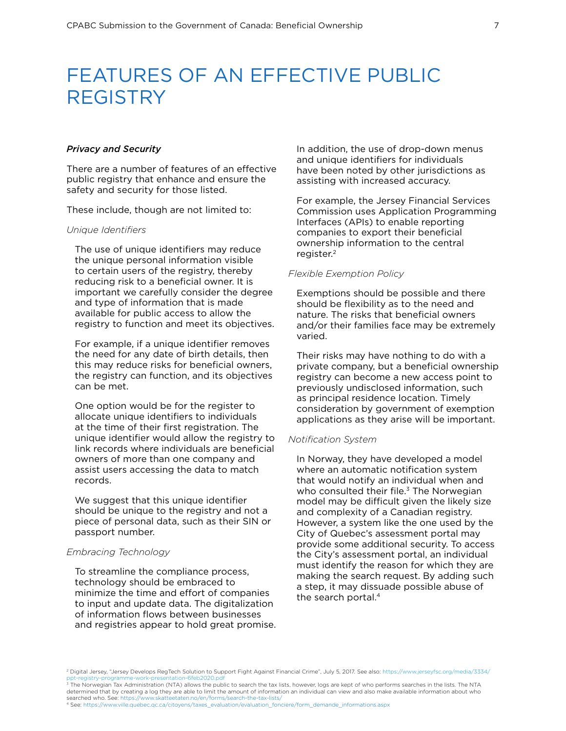## FEATURES OF AN EFFECTIVE PUBLIC REGISTRY

#### *Privacy and Security*

There are a number of features of an effective public registry that enhance and ensure the safety and security for those listed.

These include, though are not limited to:

#### *Unique Identifiers*

The use of unique identifiers may reduce the unique personal information visible to certain users of the registry, thereby reducing risk to a beneficial owner. It is important we carefully consider the degree and type of information that is made available for public access to allow the registry to function and meet its objectives.

For example, if a unique identifier removes the need for any date of birth details, then this may reduce risks for beneficial owners, the registry can function, and its objectives can be met.

One option would be for the register to allocate unique identifiers to individuals at the time of their first registration. The unique identifier would allow the registry to link records where individuals are beneficial owners of more than one company and assist users accessing the data to match records.

We suggest that this unique identifier should be unique to the registry and not a piece of personal data, such as their SIN or passport number.

#### *Embracing Technology*

To streamline the compliance process, technology should be embraced to minimize the time and effort of companies to input and update data. The digitalization of information flows between businesses and registries appear to hold great promise.

In addition, the use of drop-down menus and unique identifiers for individuals have been noted by other jurisdictions as assisting with increased accuracy.

For example, the Jersey Financial Services Commission uses Application Programming Interfaces (APIs) to enable reporting companies to export their beneficial ownership information to the central register.2

#### *Flexible Exemption Policy*

Exemptions should be possible and there should be flexibility as to the need and nature. The risks that beneficial owners and/or their families face may be extremely varied.

Their risks may have nothing to do with a private company, but a beneficial ownership registry can become a new access point to previously undisclosed information, such as principal residence location. Timely consideration by government of exemption applications as they arise will be important.

#### *Notification System*

In Norway, they have developed a model where an automatic notification system that would notify an individual when and who consulted their file.<sup>3</sup> The Norwegian model may be difficult given the likely size and complexity of a Canadian registry. However, a system like the one used by the City of Quebec's assessment portal may provide some additional security. To access the City's assessment portal, an individual must identify the reason for which they are making the search request. By adding such a step, it may dissuade possible abuse of the search portal.4

<sup>2</sup> Digital Jersey, "Jersey Develops RegTech Solution to Support Fight Against Financial Crime", July 5, 2017. See also: https://www.jerseyfsc.org/media/3334/ e-work-presentation-6feb2020.pdf

<sup>&</sup>lt;sup>5</sup> The Norwegian Tax Administration (NTA) allows the public to search the tax lists, however, logs are kept of who performs searches in the lists. The NTA determined that by creating a log they are able to limit the amount of information an individual can view and also make available information about who searched who. See: https://www.skatteetaten.no/en/forms/search-the-tax-lists/

<sup>4</sup> See: https://www.ville.quebec.qc.ca/citoyens/taxes\_evaluation/evaluation\_fonciere/form\_demande\_informations.aspx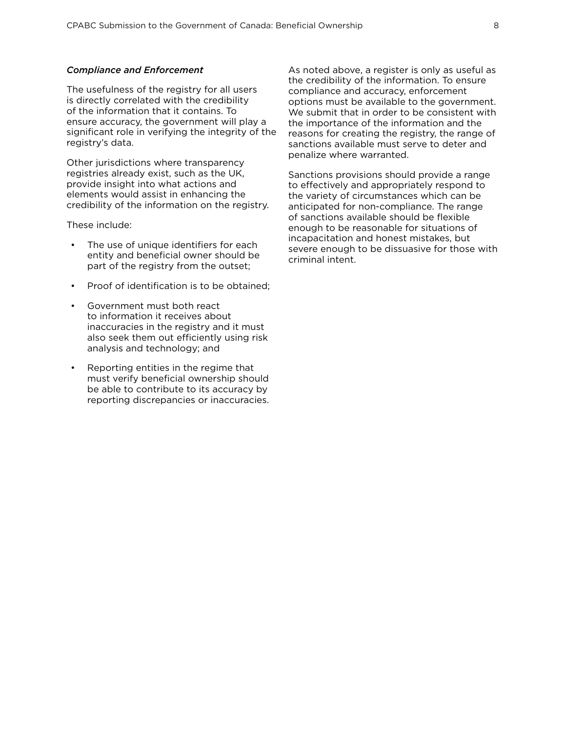#### *Compliance and Enforcement*

The usefulness of the registry for all users is directly correlated with the credibility of the information that it contains. To ensure accuracy, the government will play a significant role in verifying the integrity of the registry's data.

Other jurisdictions where transparency registries already exist, such as the UK, provide insight into what actions and elements would assist in enhancing the credibility of the information on the registry.

These include:

- The use of unique identifiers for each entity and beneficial owner should be part of the registry from the outset;
- Proof of identification is to be obtained;
- Government must both react to information it receives about inaccuracies in the registry and it must also seek them out efficiently using risk analysis and technology; and
- Reporting entities in the regime that must verify beneficial ownership should be able to contribute to its accuracy by reporting discrepancies or inaccuracies.

As noted above, a register is only as useful as the credibility of the information. To ensure compliance and accuracy, enforcement options must be available to the government. We submit that in order to be consistent with the importance of the information and the reasons for creating the registry, the range of sanctions available must serve to deter and penalize where warranted.

Sanctions provisions should provide a range to effectively and appropriately respond to the variety of circumstances which can be anticipated for non-compliance. The range of sanctions available should be flexible enough to be reasonable for situations of incapacitation and honest mistakes, but severe enough to be dissuasive for those with criminal intent.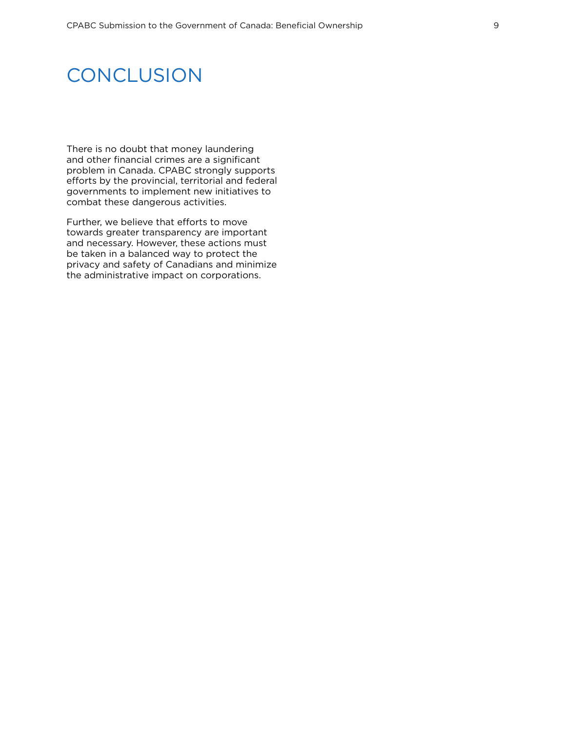## **CONCLUSION**

There is no doubt that money laundering and other financial crimes are a significant problem in Canada. CPABC strongly supports efforts by the provincial, territorial and federal governments to implement new initiatives to combat these dangerous activities.

Further, we believe that efforts to move towards greater transparency are important and necessary. However, these actions must be taken in a balanced way to protect the privacy and safety of Canadians and minimize the administrative impact on corporations.